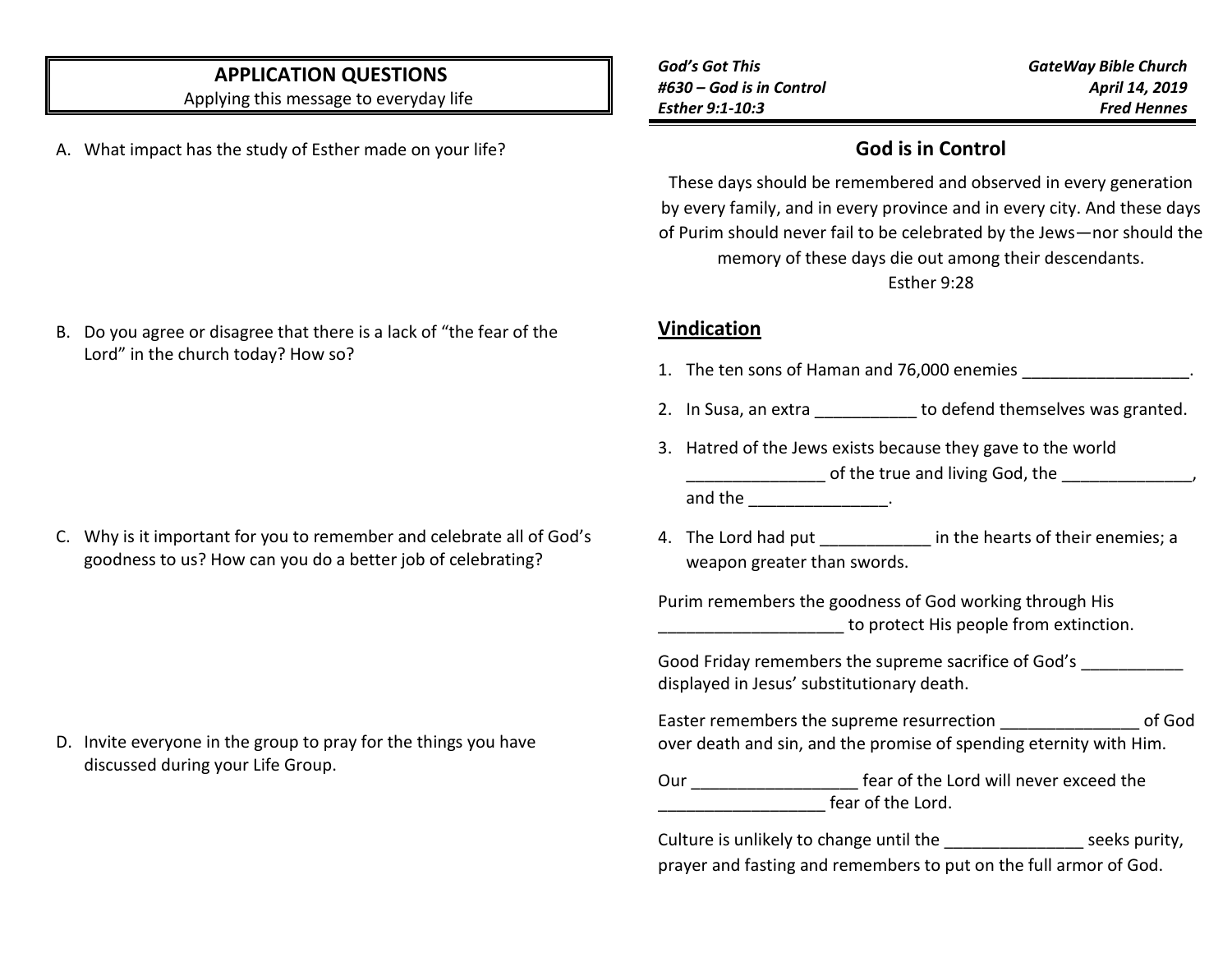# **APPLICATION QUESTIONS**

Applying this message to everyday life

A. What impact has the study of Esther made on your life?

B. Do you agree or disagree that there is a lack of "the fear of the

Lord" in the church today? How so?

*God's Got This #630 – God is in Control Esther 9:1-10:3*

*GateWay Bible Church April 14, 2019 Fred Hennes*

### **God is in Control**

These days should be remembered and observed in every generation by every family, and in every province and in every city. And these days of Purim should never fail to be celebrated by the Jews—nor should the memory of these days die out among their descendants.

Esther 9:28

#### **Vindication**

- 1. The ten sons of Haman and 76,000 enemies
- 2. In Susa, an extra \_\_\_\_\_\_\_\_\_\_\_ to defend themselves was granted.
- 3. Hatred of the Jews exists because they gave to the world \_\_\_\_\_\_\_\_\_\_\_\_\_\_\_ of the true and living God, the \_\_\_\_\_\_\_\_\_\_\_\_\_\_,

and the \_\_\_\_\_\_\_\_\_\_\_\_\_\_.

4. The Lord had put \_\_\_\_\_\_\_\_\_\_\_\_\_ in the hearts of their enemies; a weapon greater than swords.

Purim remembers the goodness of God working through His to protect His people from extinction.

| Good Friday remembers the supreme sacrifice of God's |
|------------------------------------------------------|
| displayed in Jesus' substitutionary death.           |

Easter remembers the supreme resurrection \_\_\_\_\_\_\_\_\_\_\_\_\_\_\_ of God over death and sin, and the promise of spending eternity with Him.

| Our | fear of the Lord will never exceed the |
|-----|----------------------------------------|
|     | fear of the Lord.                      |

Culture is unlikely to change until the example 2 seeks purity, prayer and fasting and remembers to put on the full armor of God.

C. Why is it important for you to remember and celebrate all of God's goodness to us? How can you do a better job of celebrating?

D. Invite everyone in the group to pray for the things you have discussed during your Life Group.